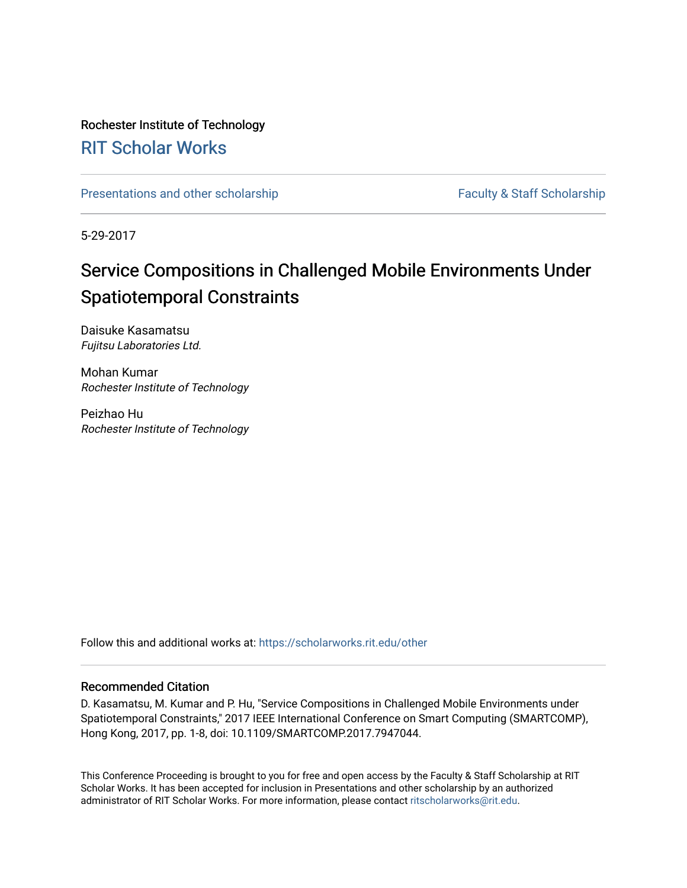# Rochester Institute of Technology

# [RIT Scholar Works](https://scholarworks.rit.edu/)

[Presentations and other scholarship](https://scholarworks.rit.edu/other) Faculty & Staff Scholarship

5-29-2017

# Service Compositions in Challenged Mobile Environments Under Spatiotemporal Constraints

Daisuke Kasamatsu Fujitsu Laboratories Ltd.

Mohan Kumar Rochester Institute of Technology

Peizhao Hu Rochester Institute of Technology

Follow this and additional works at: [https://scholarworks.rit.edu/other](https://scholarworks.rit.edu/other?utm_source=scholarworks.rit.edu%2Fother%2F939&utm_medium=PDF&utm_campaign=PDFCoverPages) 

# Recommended Citation

D. Kasamatsu, M. Kumar and P. Hu, "Service Compositions in Challenged Mobile Environments under Spatiotemporal Constraints," 2017 IEEE International Conference on Smart Computing (SMARTCOMP), Hong Kong, 2017, pp. 1-8, doi: 10.1109/SMARTCOMP.2017.7947044.

This Conference Proceeding is brought to you for free and open access by the Faculty & Staff Scholarship at RIT Scholar Works. It has been accepted for inclusion in Presentations and other scholarship by an authorized administrator of RIT Scholar Works. For more information, please contact [ritscholarworks@rit.edu](mailto:ritscholarworks@rit.edu).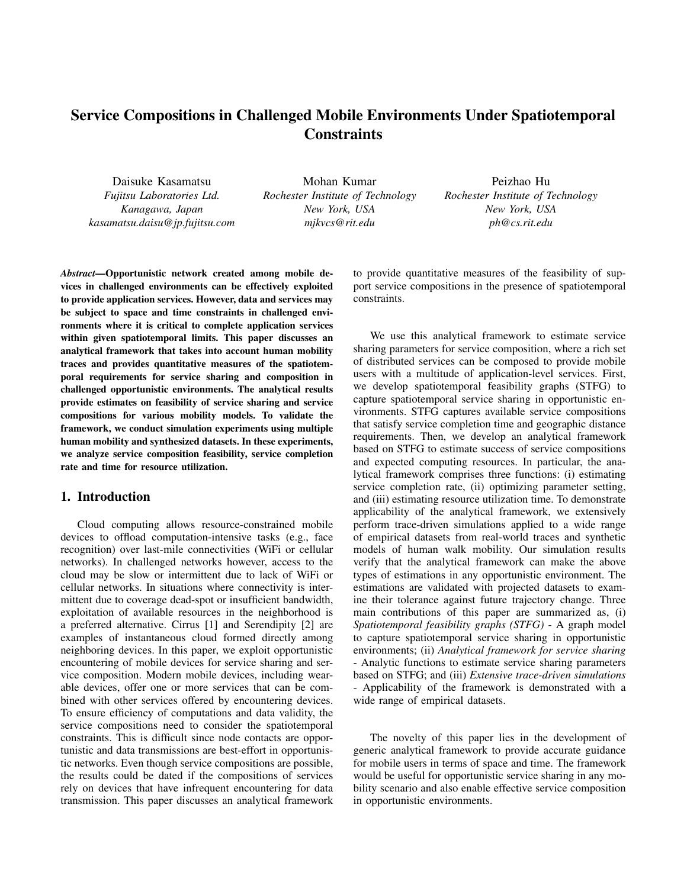# Service Compositions in Challenged Mobile Environments Under Spatiotemporal **Constraints**

Daisuke Kasamatsu *Fujitsu Laboratories Ltd. Kanagawa, Japan kasamatsu.daisu@jp.fujitsu.com*

Mohan Kumar *Rochester Institute of Technology New York, USA mjkvcs@rit.edu*

Peizhao Hu *Rochester Institute of Technology New York, USA ph@cs.rit.edu*

*Abstract*—Opportunistic network created among mobile devices in challenged environments can be effectively exploited to provide application services. However, data and services may be subject to space and time constraints in challenged environments where it is critical to complete application services within given spatiotemporal limits. This paper discusses an analytical framework that takes into account human mobility traces and provides quantitative measures of the spatiotemporal requirements for service sharing and composition in challenged opportunistic environments. The analytical results provide estimates on feasibility of service sharing and service compositions for various mobility models. To validate the framework, we conduct simulation experiments using multiple human mobility and synthesized datasets. In these experiments, we analyze service composition feasibility, service completion rate and time for resource utilization.

# 1. Introduction

Cloud computing allows resource-constrained mobile devices to offload computation-intensive tasks (e.g., face recognition) over last-mile connectivities (WiFi or cellular networks). In challenged networks however, access to the cloud may be slow or intermittent due to lack of WiFi or cellular networks. In situations where connectivity is intermittent due to coverage dead-spot or insufficient bandwidth, exploitation of available resources in the neighborhood is a preferred alternative. Cirrus [1] and Serendipity [2] are examples of instantaneous cloud formed directly among neighboring devices. In this paper, we exploit opportunistic encountering of mobile devices for service sharing and service composition. Modern mobile devices, including wearable devices, offer one or more services that can be combined with other services offered by encountering devices. To ensure efficiency of computations and data validity, the service compositions need to consider the spatiotemporal constraints. This is difficult since node contacts are opportunistic and data transmissions are best-effort in opportunistic networks. Even though service compositions are possible, the results could be dated if the compositions of services rely on devices that have infrequent encountering for data transmission. This paper discusses an analytical framework to provide quantitative measures of the feasibility of support service compositions in the presence of spatiotemporal constraints.

We use this analytical framework to estimate service sharing parameters for service composition, where a rich set of distributed services can be composed to provide mobile users with a multitude of application-level services. First, we develop spatiotemporal feasibility graphs (STFG) to capture spatiotemporal service sharing in opportunistic environments. STFG captures available service compositions that satisfy service completion time and geographic distance requirements. Then, we develop an analytical framework based on STFG to estimate success of service compositions and expected computing resources. In particular, the analytical framework comprises three functions: (i) estimating service completion rate, (ii) optimizing parameter setting, and (iii) estimating resource utilization time. To demonstrate applicability of the analytical framework, we extensively perform trace-driven simulations applied to a wide range of empirical datasets from real-world traces and synthetic models of human walk mobility. Our simulation results verify that the analytical framework can make the above types of estimations in any opportunistic environment. The estimations are validated with projected datasets to examine their tolerance against future trajectory change. Three main contributions of this paper are summarized as, (i) *Spatiotemporal feasibility graphs (STFG)* - A graph model to capture spatiotemporal service sharing in opportunistic environments; (ii) *Analytical framework for service sharing* - Analytic functions to estimate service sharing parameters based on STFG; and (iii) *Extensive trace-driven simulations* - Applicability of the framework is demonstrated with a wide range of empirical datasets.

The novelty of this paper lies in the development of generic analytical framework to provide accurate guidance for mobile users in terms of space and time. The framework would be useful for opportunistic service sharing in any mobility scenario and also enable effective service composition in opportunistic environments.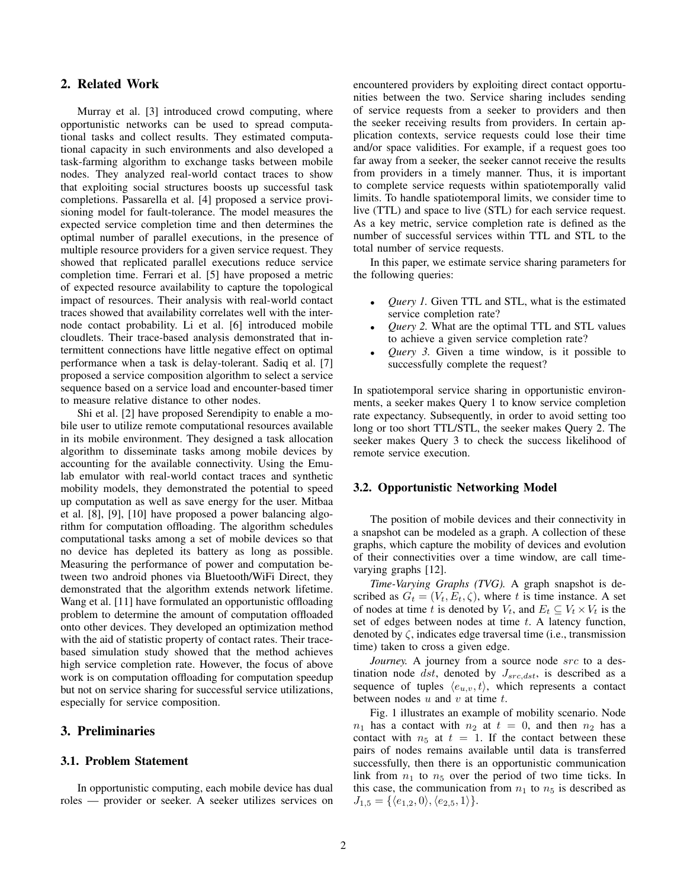# 2. Related Work

Murray et al. [3] introduced crowd computing, where opportunistic networks can be used to spread computational tasks and collect results. They estimated computational capacity in such environments and also developed a task-farming algorithm to exchange tasks between mobile nodes. They analyzed real-world contact traces to show that exploiting social structures boosts up successful task completions. Passarella et al. [4] proposed a service provisioning model for fault-tolerance. The model measures the expected service completion time and then determines the optimal number of parallel executions, in the presence of multiple resource providers for a given service request. They showed that replicated parallel executions reduce service completion time. Ferrari et al. [5] have proposed a metric of expected resource availability to capture the topological impact of resources. Their analysis with real-world contact traces showed that availability correlates well with the internode contact probability. Li et al. [6] introduced mobile cloudlets. Their trace-based analysis demonstrated that intermittent connections have little negative effect on optimal performance when a task is delay-tolerant. Sadiq et al. [7] proposed a service composition algorithm to select a service sequence based on a service load and encounter-based timer to measure relative distance to other nodes.

Shi et al. [2] have proposed Serendipity to enable a mobile user to utilize remote computational resources available in its mobile environment. They designed a task allocation algorithm to disseminate tasks among mobile devices by accounting for the available connectivity. Using the Emulab emulator with real-world contact traces and synthetic mobility models, they demonstrated the potential to speed up computation as well as save energy for the user. Mitbaa et al. [8], [9], [10] have proposed a power balancing algorithm for computation offloading. The algorithm schedules computational tasks among a set of mobile devices so that no device has depleted its battery as long as possible. Measuring the performance of power and computation between two android phones via Bluetooth/WiFi Direct, they demonstrated that the algorithm extends network lifetime. Wang et al. [11] have formulated an opportunistic offloading problem to determine the amount of computation offloaded onto other devices. They developed an optimization method with the aid of statistic property of contact rates. Their tracebased simulation study showed that the method achieves high service completion rate. However, the focus of above work is on computation offloading for computation speedup but not on service sharing for successful service utilizations, especially for service composition.

# 3. Preliminaries

## 3.1. Problem Statement

In opportunistic computing, each mobile device has dual roles — provider or seeker. A seeker utilizes services on encountered providers by exploiting direct contact opportunities between the two. Service sharing includes sending of service requests from a seeker to providers and then the seeker receiving results from providers. In certain application contexts, service requests could lose their time and/or space validities. For example, if a request goes too far away from a seeker, the seeker cannot receive the results from providers in a timely manner. Thus, it is important to complete service requests within spatiotemporally valid limits. To handle spatiotemporal limits, we consider time to live (TTL) and space to live (STL) for each service request. As a key metric, service completion rate is defined as the number of successful services within TTL and STL to the total number of service requests.

In this paper, we estimate service sharing parameters for the following queries:

- *• Query 1.* Given TTL and STL, what is the estimated service completion rate?
- *• Query 2.* What are the optimal TTL and STL values to achieve a given service completion rate?
- *Query 3.* Given a time window, is it possible to successfully complete the request?

In spatiotemporal service sharing in opportunistic environments, a seeker makes Query 1 to know service completion rate expectancy. Subsequently, in order to avoid setting too long or too short TTL/STL, the seeker makes Query 2. The seeker makes Query 3 to check the success likelihood of remote service execution.

#### 3.2. Opportunistic Networking Model

The position of mobile devices and their connectivity in a snapshot can be modeled as a graph. A collection of these graphs, which capture the mobility of devices and evolution of their connectivities over a time window, are call timevarying graphs [12].

*Time-Varying Graphs (TVG).* A graph snapshot is described as  $G_t = (V_t, E_t, \zeta)$ , where *t* is time instance. A set of nodes at time *t* is denoted by  $V_t$ , and  $E_t \subseteq V_t \times V_t$  is the set of edges between nodes at time *t*. A latency function, denoted by  $\zeta$ , indicates edge traversal time (i.e., transmission time) taken to cross a given edge.

*Journey.* A journey from a source node *src* to a destination node *dst*, denoted by *Jsrc,dst*, is described as a sequence of tuples  $\langle e_{u,v}, t \rangle$ , which represents a contact between nodes *u* and *v* at time *t*.

Fig. 1 illustrates an example of mobility scenario. Node  $n_1$  has a contact with  $n_2$  at  $t = 0$ , and then  $n_2$  has a contact with  $n_5$  at  $t = 1$ . If the contact between these pairs of nodes remains available until data is transferred successfully, then there is an opportunistic communication link from  $n_1$  to  $n_5$  over the period of two time ticks. In this case, the communication from  $n_1$  to  $n_5$  is described as  $J_{1,5} = \{ \langle e_{1,2}, 0 \rangle, \langle e_{2,5}, 1 \rangle \}.$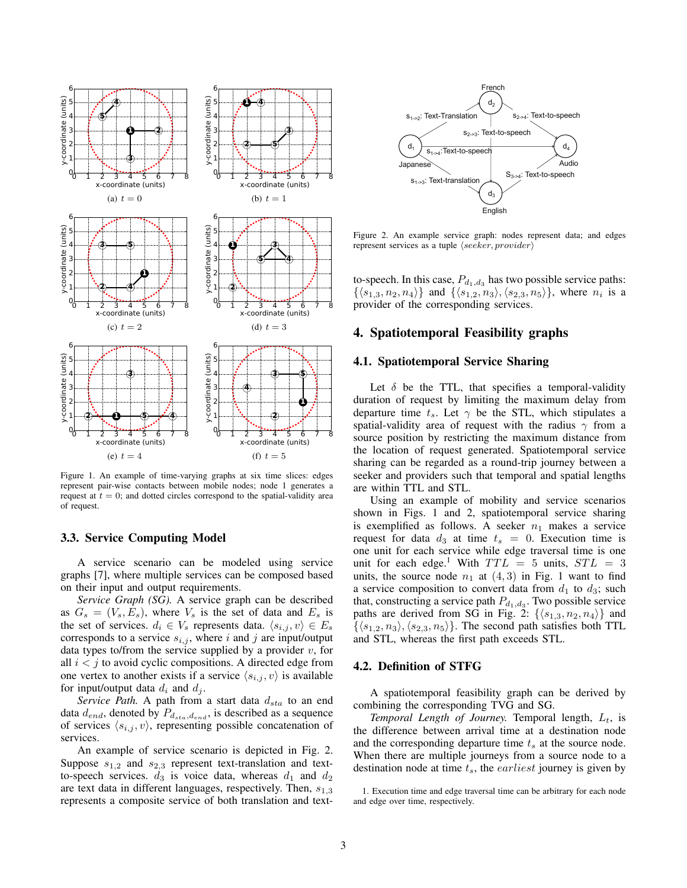

Figure 1. An example of time-varying graphs at six time slices: edges represent pair-wise contacts between mobile nodes; node 1 generates a request at  $t = 0$ ; and dotted circles correspond to the spatial-validity area of request.

#### 3.3. Service Computing Model

A service scenario can be modeled using service graphs [7], where multiple services can be composed based on their input and output requirements.

*Service Graph (SG).* A service graph can be described as  $G_s = (V_s, E_s)$ , where  $V_s$  is the set of data and  $E_s$  is the set of services.  $d_i \in V_s$  represents data.  $\langle s_{i,j}, v \rangle \in E_s$ corresponds to a service  $s_{i,j}$ , where *i* and *j* are input/output data types to/from the service supplied by a provider *v*, for all  $i < j$  to avoid cyclic compositions. A directed edge from one vertex to another exists if a service  $\langle s_{i,j}, v \rangle$  is available for input/output data  $d_i$  and  $d_j$ .

*Service Path.* A path from a start data *dsta* to an end data  $d_{end}$ , denoted by  $P_{d_{sta}, d_{end}}$ , is described as a sequence of services  $\langle s_{i,j}, v \rangle$ , representing possible concatenation of services.

An example of service scenario is depicted in Fig. 2. Suppose *s*1*,*<sup>2</sup> and *s*2*,*<sup>3</sup> represent text-translation and textto-speech services.  $d_3$  is voice data, whereas  $d_1$  and  $d_2$ are text data in different languages, respectively. Then, *s*1*,*<sup>3</sup> represents a composite service of both translation and text-



Figure 2. An example service graph: nodes represent data; and edges represent services as a tuple *⟨seeker, provider⟩*

to-speech. In this case,  $P_{d_1,d_3}$  has two possible service paths: *{⟨s*1*,*3*, n*2*, n*4*⟩}* and *{⟨s*1*,*2*, n*3*⟩,⟨s*2*,*3*, n*5*⟩}*, where *n<sup>i</sup>* is a provider of the corresponding services.

# 4. Spatiotemporal Feasibility graphs

#### 4.1. Spatiotemporal Service Sharing

Let  $\delta$  be the TTL, that specifies a temporal-validity duration of request by limiting the maximum delay from departure time  $t_s$ . Let  $\gamma$  be the STL, which stipulates a spatial-validity area of request with the radius *γ* from a source position by restricting the maximum distance from the location of request generated. Spatiotemporal service sharing can be regarded as a round-trip journey between a seeker and providers such that temporal and spatial lengths are within TTL and STL.

Using an example of mobility and service scenarios shown in Figs. 1 and 2, spatiotemporal service sharing is exemplified as follows. A seeker  $n_1$  makes a service request for data  $d_3$  at time  $t_s = 0$ . Execution time is one unit for each service while edge traversal time is one unit for each edge.<sup>1</sup> With  $TTL = 5$  units,  $STL = 3$ units, the source node  $n_1$  at  $(4,3)$  in Fig. 1 want to find a service composition to convert data from  $d_1$  to  $d_3$ ; such that, constructing a service path  $P_{d_1, d_3}$ . Two possible service paths are derived from SG in Fig. 2:  $\{\langle s_{1,3}, n_2, n_4 \rangle\}$  and  $\{\langle s_{1,2}, n_3 \rangle, \langle s_{2,3}, n_5 \rangle\}$ . The second path satisfies both TTL and STL, whereas the first path exceeds STL.

#### 4.2. Definition of STFG

A spatiotemporal feasibility graph can be derived by combining the corresponding TVG and SG.

*Temporal Length of Journey.* Temporal length, *Lt*, is the difference between arrival time at a destination node and the corresponding departure time *t<sup>s</sup>* at the source node. When there are multiple journeys from a source node to a destination node at time *ts*, the *earliest* journey is given by

<sup>1.</sup> Execution time and edge traversal time can be arbitrary for each node and edge over time, respectively.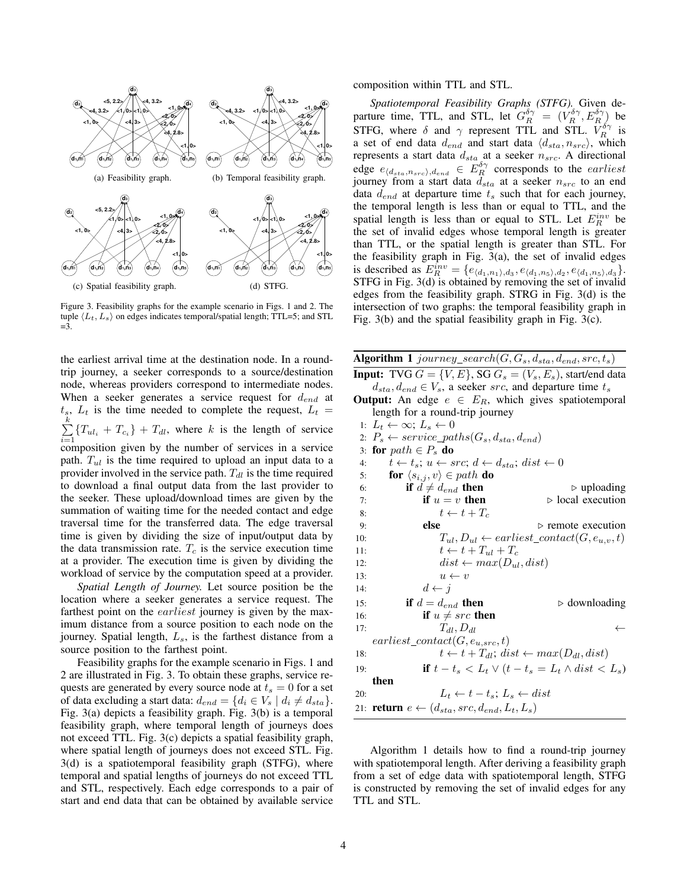

Figure 3. Feasibility graphs for the example scenario in Figs. 1 and 2. The tuple  $\langle L_t, L_s \rangle$  on edges indicates temporal/spatial length; TTL=5; and STL  $=$ 3.

the earliest arrival time at the destination node. In a roundtrip journey, a seeker corresponds to a source/destination node, whereas providers correspond to intermediate nodes. When a seeker generates a service request for *dend* at  $t_s$ ,  $L_t$  is the time needed to complete the request,  $L_t$  = ∑ *k*  $\sum_{i=1}^{n} \{T_{u l_i} + T_{c_i}\} + T_{d l}$ , where *k* is the length of service composition given by the number of services in a service path. *Tul* is the time required to upload an input data to a provider involved in the service path.  $T_{dl}$  is the time required to download a final output data from the last provider to the seeker. These upload/download times are given by the summation of waiting time for the needed contact and edge traversal time for the transferred data. The edge traversal time is given by dividing the size of input/output data by the data transmission rate.  $T_c$  is the service execution time at a provider. The execution time is given by dividing the workload of service by the computation speed at a provider.

*Spatial Length of Journey.* Let source position be the location where a seeker generates a service request. The farthest point on the *earliest* journey is given by the maximum distance from a source position to each node on the journey. Spatial length, *Ls*, is the farthest distance from a source position to the farthest point.

Feasibility graphs for the example scenario in Figs. 1 and 2 are illustrated in Fig. 3. To obtain these graphs, service requests are generated by every source node at  $t_s = 0$  for a set of data excluding a start data:  $d_{end} = \{d_i \in V_s \mid d_i \neq d_{sta}\}.$ Fig. 3(a) depicts a feasibility graph. Fig. 3(b) is a temporal feasibility graph, where temporal length of journeys does not exceed TTL. Fig. 3(c) depicts a spatial feasibility graph, where spatial length of journeys does not exceed STL. Fig. 3(d) is a spatiotemporal feasibility graph (STFG), where temporal and spatial lengths of journeys do not exceed TTL and STL, respectively. Each edge corresponds to a pair of start and end data that can be obtained by available service composition within TTL and STL.

*Spatiotemporal Feasibility Graphs (STFG).* Given departure time, TTL, and STL, let  $G_R^{\delta \gamma} = (V_R^{\delta \gamma}, E_R^{\delta \gamma})$  be STFG, where  $\delta$  and  $\gamma$  represent TTL and STL.  $V_R^{\delta\gamma}$  is a set of end data  $d_{end}$  and start data  $\langle d_{sta}, n_{src} \rangle$ , which represents a start data *dsta* at a seeker *nsrc*. A directional edge  $e_{\langle d_{\text{stat}}, n_{\text{src}} \rangle, d_{\text{end}}} \in E_R^{\delta \gamma}$  corresponds to the *earliest* journey from a start data *dsta* at a seeker *nsrc* to an end data *dend* at departure time *t<sup>s</sup>* such that for each journey, the temporal length is less than or equal to TTL, and the spatial length is less than or equal to STL. Let  $E_R^{inv}$  be the set of invalid edges whose temporal length is greater than TTL, or the spatial length is greater than STL. For the feasibility graph in Fig. 3(a), the set of invalid edges is described as  $E_R^{inv} = \{e_{\langle d_1, n_1 \rangle, d_3}, e_{\langle d_1, n_5 \rangle, d_2}, e_{\langle d_1, n_5 \rangle, d_3}\}.$ STFG in Fig. 3(d) is obtained by removing the set of invalid edges from the feasibility graph. STRG in Fig. 3(d) is the intersection of two graphs: the temporal feasibility graph in Fig. 3(b) and the spatial feasibility graph in Fig. 3(c).

Algorithm 1 *journey\_search*( $G, G_s, d_{sta}, d_{end}, src, t_s$ )

**Input:** TVG  $G = \{V, E\}$ , SG  $G_s = (V_s, E_s)$ , start/end data  $d_{sta}$ *,*  $d_{end} \in V_s$ *,* a seeker *src*, and departure time  $t_s$ **Output:** An edge  $e \in E_R$ , which gives spatiotemporal length for a round-trip journey

- 
- 1:  $L_t \leftarrow \infty$ ;  $L_s \leftarrow 0$ 2:  $P_s \leftarrow service\_paths(G_s, d_{sta}, d_{end})$ 3: for  $path \in P_s$  do 4:  $t \leftarrow t_s$ ;  $u \leftarrow src$ ;  $d \leftarrow d_{sta}$ ;  $dist \leftarrow 0$ 5: **for**  $\langle s_{i,j}, v \rangle \in path$  **do** 6: **if**  $d \neq d_{end}$  **then**  $\triangleright$  **local execution**<br>7: **if**  $u = v$  **then**  $\triangleright$  **local execution** 7: **if**  $u = v$  **then**  $\triangleright$  local execution 8:  $t \leftarrow t + T_c$ 9: **else ⊳** remote execution 10:  $T_{ul}, D_{ul} \leftarrow earliest\_contact(G, e_{u,v}, t)$ 11:  $t \leftarrow t + T_{ul} + T_c$ 12:  $dist \leftarrow max(D_{ul}, dist)$ 13:  $u \leftarrow v$ 14:  $d \leftarrow j$ 15: **if**  $d = d_{end}$  **then**  $\triangleright$  downloading 16: **if**  $u \neq src$  then 17:  $T_{dl}, D_{dl} \leftarrow$  $earliest\_contact(G, e_{u,src}, t)$ 18:  $t \leftarrow t + T_{dl}$ ;  $dist \leftarrow max(D_{dl}, dist)$ 19: **if**  $t - t_s < L_t \vee (t - t_s = L_t \wedge dist < L_s)$ then 20:  $L_t \leftarrow t - t_s; L_s \leftarrow dist$ 21: **return**  $e \leftarrow (d_{sta}, src, d_{end}, L_t, L_s)$

Algorithm 1 details how to find a round-trip journey with spatiotemporal length. After deriving a feasibility graph from a set of edge data with spatiotemporal length, STFG is constructed by removing the set of invalid edges for any TTL and STL.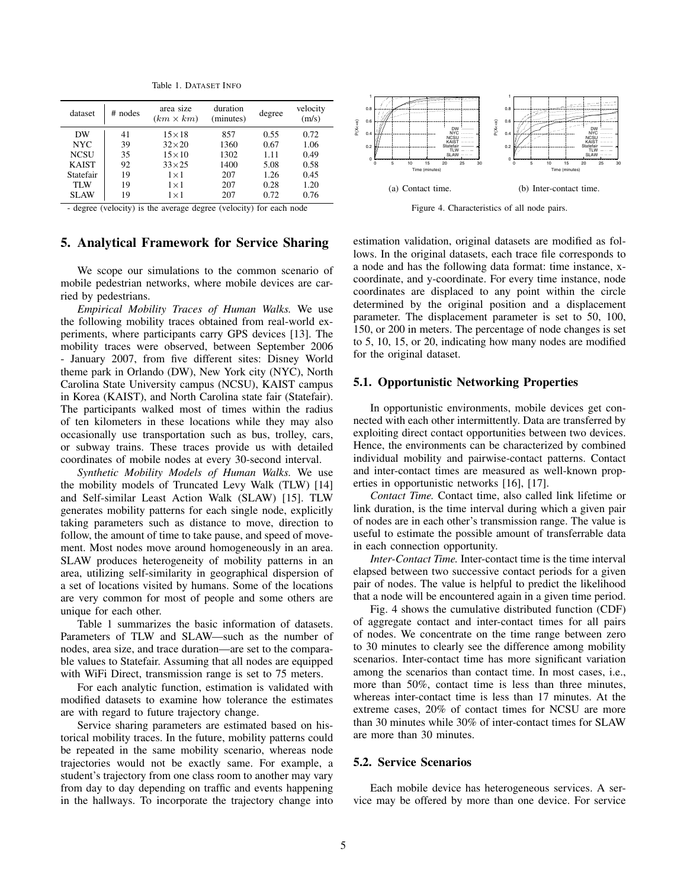Table 1. DATASET INFO

| dataset      | $#$ nodes | area size<br>$(km \times km)$ | duration<br>(minutes) | degree | velocity<br>(m/s) |
|--------------|-----------|-------------------------------|-----------------------|--------|-------------------|
| DW           | 41        | $15\times18$                  | 857                   | 0.55   | 0.72              |
| NYC.         | 39        | $32\times20$                  | 1360                  | 0.67   | 1.06              |
| <b>NCSU</b>  | 35        | $15\times10$                  | 1302                  | 1.11   | 0.49              |
| <b>KAIST</b> | 92        | $33\times25$                  | 1400                  | 5.08   | 0.58              |
| Statefair    | 19        | $1\times1$                    | 207                   | 1.26   | 0.45              |
| <b>TLW</b>   | 19        | $1\times1$                    | 207                   | 0.28   | 1.20              |
| <b>SLAW</b>  | 19        | $1\times1$                    | 207                   | 0.72   | 0.76              |

- degree (velocity) is the average degree (velocity) for each node

# 5. Analytical Framework for Service Sharing

We scope our simulations to the common scenario of mobile pedestrian networks, where mobile devices are carried by pedestrians.

*Empirical Mobility Traces of Human Walks.* We use the following mobility traces obtained from real-world experiments, where participants carry GPS devices [13]. The mobility traces were observed, between September 2006 - January 2007, from five different sites: Disney World theme park in Orlando (DW), New York city (NYC), North Carolina State University campus (NCSU), KAIST campus in Korea (KAIST), and North Carolina state fair (Statefair). The participants walked most of times within the radius of ten kilometers in these locations while they may also occasionally use transportation such as bus, trolley, cars, or subway trains. These traces provide us with detailed coordinates of mobile nodes at every 30-second interval. Kinky 1922, 333, 1400<br>
in the hallways. To the hallways. The hallways. To incorporate the trajectory change into the trajectory is the trajectory of the trajectory is the trajectory is the trajectory of the trajectory of

*Synthetic Mobility Models of Human Walks.* We use the mobility models of Truncated Levy Walk (TLW) [14] and Self-similar Least Action Walk (SLAW) [15]. TLW generates mobility patterns for each single node, explicitly taking parameters such as distance to move, direction to follow, the amount of time to take pause, and speed of movement. Most nodes move around homogeneously in an area. SLAW produces heterogeneity of mobility patterns in an area, utilizing self-similarity in geographical dispersion of a set of locations visited by humans. Some of the locations are very common for most of people and some others are unique for each other.

Table 1 summarizes the basic information of datasets. Parameters of TLW and SLAW—such as the number of nodes, area size, and trace duration—are set to the comparable values to Statefair. Assuming that all nodes are equipped with WiFi Direct, transmission range is set to 75 meters.

For each analytic function, estimation is validated with modified datasets to examine how tolerance the estimates are with regard to future trajectory change.

Service sharing parameters are estimated based on historical mobility traces. In the future, mobility patterns could be repeated in the same mobility scenario, whereas node trajectories would not be exactly same. For example, a student's trajectory from one class room to another may vary from day to day depending on traffic and events happening



Figure 4. Characteristics of all node pairs.

estimation validation, original datasets are modified as follows. In the original datasets, each trace file corresponds to a node and has the following data format: time instance, xcoordinate, and y-coordinate. For every time instance, node coordinates are displaced to any point within the circle determined by the original position and a displacement parameter. The displacement parameter is set to 50, 100, 150, or 200 in meters. The percentage of node changes is set to 5, 10, 15, or 20, indicating how many nodes are modified for the original dataset.

#### 5.1. Opportunistic Networking Properties

In opportunistic environments, mobile devices get connected with each other intermittently. Data are transferred by exploiting direct contact opportunities between two devices. Hence, the environments can be characterized by combined individual mobility and pairwise-contact patterns. Contact and inter-contact times are measured as well-known properties in opportunistic networks [16], [17].

*Contact Time.* Contact time, also called link lifetime or link duration, is the time interval during which a given pair of nodes are in each other's transmission range. The value is useful to estimate the possible amount of transferrable data in each connection opportunity.

*Inter-Contact Time.* Inter-contact time is the time interval elapsed between two successive contact periods for a given pair of nodes. The value is helpful to predict the likelihood that a node will be encountered again in a given time period.

Fig. 4 shows the cumulative distributed function (CDF) of aggregate contact and inter-contact times for all pairs of nodes. We concentrate on the time range between zero to 30 minutes to clearly see the difference among mobility scenarios. Inter-contact time has more significant variation among the scenarios than contact time. In most cases, i.e., more than 50%, contact time is less than three minutes, whereas inter-contact time is less than 17 minutes. At the extreme cases, 20% of contact times for NCSU are more than 30 minutes while 30% of inter-contact times for SLAW are more than 30 minutes.

## 5.2. Service Scenarios

Each mobile device has heterogeneous services. A service may be offered by more than one device. For service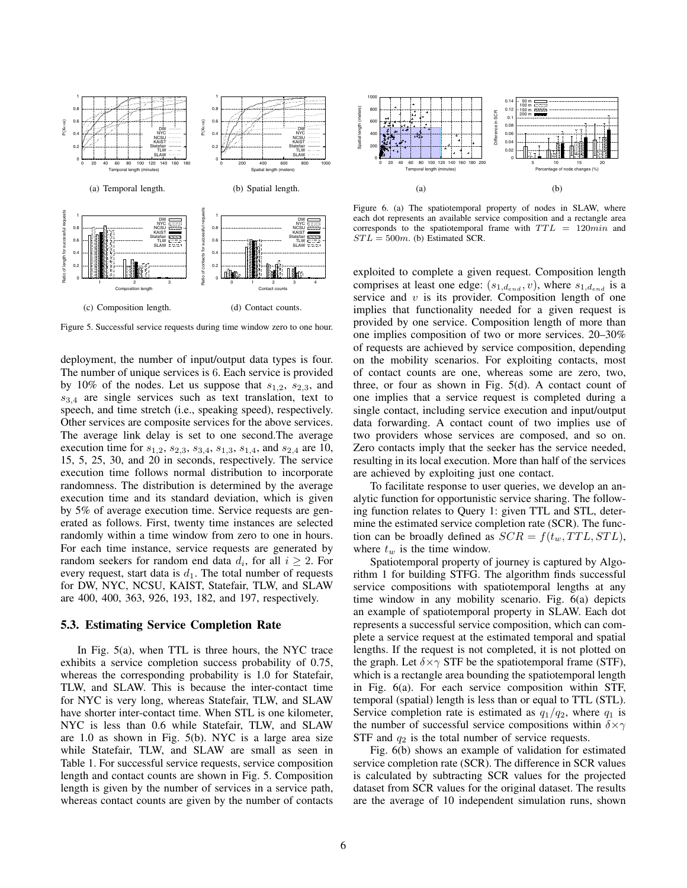

Figure 5. Successful service requests during time window zero to one hour.

deployment, the number of input/output data types is four. The number of unique services is 6. Each service is provided by 10% of the nodes. Let us suppose that *s*1*,*2, *s*2*,*3, and *s*3*,*<sup>4</sup> are single services such as text translation, text to speech, and time stretch (i.e., speaking speed), respectively. Other services are composite services for the above services. The average link delay is set to one second.The average execution time for *s*1*,*2, *s*2*,*3, *s*3*,*4, *s*1*,*3, *s*1*,*4, and *s*2*,*<sup>4</sup> are 10, 15, 5, 25, 30, and 20 in seconds, respectively. The service execution time follows normal distribution to incorporate randomness. The distribution is determined by the average execution time and its standard deviation, which is given by 5% of average execution time. Service requests are generated as follows. First, twenty time instances are selected randomly within a time window from zero to one in hours. For each time instance, service requests are generated by random seekers for random end data  $d_i$ , for all  $i \geq 2$ . For every request, start data is  $d_1$ . The total number of requests for DW, NYC, NCSU, KAIST, Statefair, TLW, and SLAW are 400, 400, 363, 926, 193, 182, and 197, respectively. (a) Employee the section of the number of interactions are given by the number of contacts of contacts of contacts of contacts of the number of contacts of contacts of contacts of contacts of contacts of contacts of conta

#### 5.3. Estimating Service Completion Rate

In Fig. 5(a), when TTL is three hours, the NYC trace exhibits a service completion success probability of 0.75, whereas the corresponding probability is 1.0 for Statefair, TLW, and SLAW. This is because the inter-contact time for NYC is very long, whereas Statefair, TLW, and SLAW have shorter inter-contact time. When STL is one kilometer, NYC is less than 0.6 while Statefair, TLW, and SLAW are 1.0 as shown in Fig. 5(b). NYC is a large area size while Statefair, TLW, and SLAW are small as seen in Table 1. For successful service requests, service composition length and contact counts are shown in Fig. 5. Composition length is given by the number of services in a service path,



Figure 6. (a) The spatiotemporal property of nodes in SLAW, where each dot represents an available service composition and a rectangle area corresponds to the spatiotemporal frame with  $TTL = 120min$  and  $STL = 500m$ . (b) Estimated SCR.

exploited to complete a given request. Composition length comprises at least one edge:  $(s_{1,d_{end}}, v)$ , where  $s_{1,d_{end}}$  is a service and *v* is its provider. Composition length of one implies that functionality needed for a given request is provided by one service. Composition length of more than one implies composition of two or more services. 20–30% of requests are achieved by service composition, depending on the mobility scenarios. For exploiting contacts, most of contact counts are one, whereas some are zero, two, three, or four as shown in Fig. 5(d). A contact count of one implies that a service request is completed during a single contact, including service execution and input/output data forwarding. A contact count of two implies use of two providers whose services are composed, and so on. Zero contacts imply that the seeker has the service needed, resulting in its local execution. More than half of the services are achieved by exploiting just one contact.

To facilitate response to user queries, we develop an analytic function for opportunistic service sharing. The following function relates to Query 1: given TTL and STL, determine the estimated service completion rate (SCR). The function can be broadly defined as  $SCR = f(t_w, TTL, STL)$ , where  $t_w$  is the time window.

Spatiotemporal property of journey is captured by Algorithm 1 for building STFG. The algorithm finds successful service compositions with spatiotemporal lengths at any time window in any mobility scenario. Fig. 6(a) depicts an example of spatiotemporal property in SLAW. Each dot represents a successful service composition, which can complete a service request at the estimated temporal and spatial lengths. If the request is not completed, it is not plotted on the graph. Let  $\delta \times \gamma$  STF be the spatiotemporal frame (STF), which is a rectangle area bounding the spatiotemporal length in Fig. 6(a). For each service composition within STF, temporal (spatial) length is less than or equal to TTL (STL). Service completion rate is estimated as  $q_1/q_2$ , where  $q_1$  is the number of successful service compositions within *δ×γ* STF and  $q_2$  is the total number of service requests.

Fig. 6(b) shows an example of validation for estimated service completion rate (SCR). The difference in SCR values is calculated by subtracting SCR values for the projected dataset from SCR values for the original dataset. The results are the average of 10 independent simulation runs, shown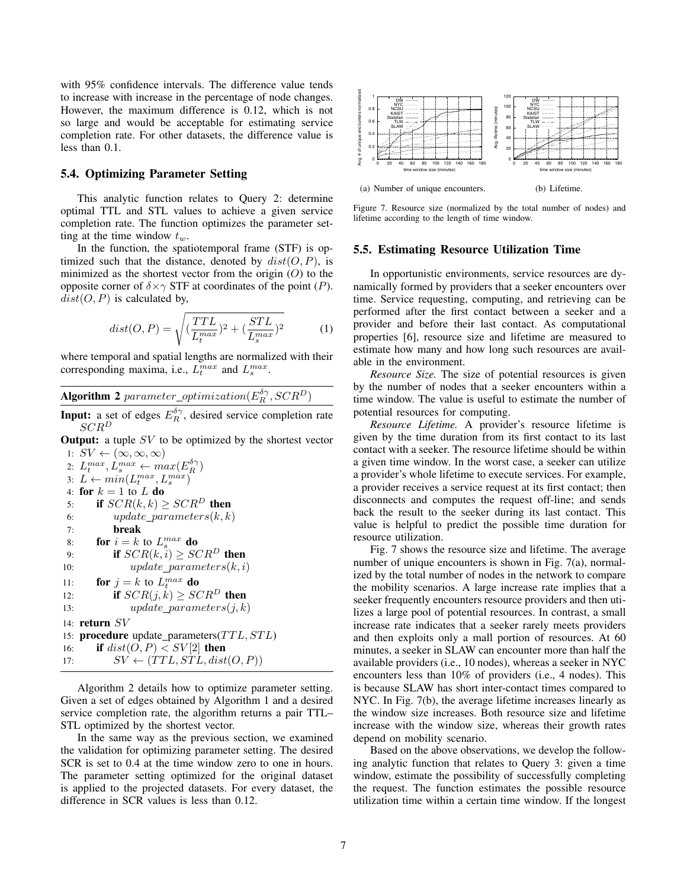with 95% confidence intervals. The difference value tends to increase with increase in the percentage of node changes. However, the maximum difference is 0.12, which is not so large and would be acceptable for estimating service completion rate. For other datasets, the difference value is less than 0.1.

#### 5.4. Optimizing Parameter Setting

This analytic function relates to Query 2: determine optimal TTL and STL values to achieve a given service completion rate. The function optimizes the parameter setting at the time window *tw*.

In the function, the spatiotemporal frame (STF) is optimized such that the distance, denoted by  $dist(O, P)$ , is minimized as the shortest vector from the origin (*O*) to the opposite corner of  $\delta \times \gamma$  STF at coordinates of the point (*P*).  $dist(O, P)$  is calculated by,

$$
dist(O, P) = \sqrt{\left(\frac{TTL}{L_t^{max}}\right)^2 + \left(\frac{STL}{L_s^{max}}\right)^2} \tag{1}
$$

where temporal and spatial lengths are normalized with their corresponding maxima, i.e.,  $L_t^{max}$  and  $L_s^{max}$ .

Algorithm 2  $\textit{parameter\_optimization}(E_R^{\delta\gamma},SCR^D)$ 

**Input:** a set of edges  $E_R^{\delta\gamma}$ , desired service completion rate *SCR<sup>D</sup>*

**Output:** a tuple *SV* to be optimized by the shortest vector 1:  $SV \leftarrow (\infty, \infty, \infty)$ 

2:  $L_t^{max}, L_s^{max} \leftarrow max(E_R^{\delta \gamma})$  $L \leftarrow min(L_t^{max}, L_s^{max})$ 4: **for**  $k = 1$  to  $L$  **do** 5: if  $SCR(k, k) \geq SCR^D$  then 6:  $update\_parameters(k, k)$ 7: break 8: **for**  $i = k$  to  $L_s^{max}$  do 9: **if**  $SCR(k, i) \geq SCR^D$  then 10:  $update\_parameters(k, i)$ 11: **for**  $j = k$  to  $L_t^{max}$  do 12: **if**  $SCR(j, k) \geq SCR^D$  then 13: *update parameters*(*j, k*) 14: return *SV* 15: procedure update parameters(*T T L, ST L*) 16: **if**  $dist(O, P) < SV[2]$  then 17:  $SV \leftarrow (TTL, STL, dist(O, P))$ 5.4. **Optimizing Parameter Setting**<br>
This analytic function relates to Query 2: determine<br>
origonal TITL and STR-values to achieve a given serieve higher<br>
completion rate. The function optimizes the parameter set-<br>
line a

Algorithm 2 details how to optimize parameter setting. Given a set of edges obtained by Algorithm 1 and a desired service completion rate, the algorithm returns a pair TTL– STL optimized by the shortest vector.

In the same way as the previous section, we examined the validation for optimizing parameter setting. The desired SCR is set to 0.4 at the time window zero to one in hours. The parameter setting optimized for the original dataset is applied to the projected datasets. For every dataset, the



Figure 7. Resource size (normalized by the total number of nodes) and lifetime according to the length of time window.

#### 5.5. Estimating Resource Utilization Time

In opportunistic environments, service resources are dynamically formed by providers that a seeker encounters over time. Service requesting, computing, and retrieving can be performed after the first contact between a seeker and a provider and before their last contact. As computational properties [6], resource size and lifetime are measured to estimate how many and how long such resources are available in the environment.

*Resource Size.* The size of potential resources is given by the number of nodes that a seeker encounters within a time window. The value is useful to estimate the number of potential resources for computing.

*Resource Lifetime.* A provider's resource lifetime is given by the time duration from its first contact to its last contact with a seeker. The resource lifetime should be within a given time window. In the worst case, a seeker can utilize a provider's whole lifetime to execute services. For example, a provider receives a service request at its first contact; then disconnects and computes the request off-line; and sends back the result to the seeker during its last contact. This value is helpful to predict the possible time duration for resource utilization.

Fig. 7 shows the resource size and lifetime. The average number of unique encounters is shown in Fig. 7(a), normalized by the total number of nodes in the network to compare the mobility scenarios. A large increase rate implies that a seeker frequently encounters resource providers and then utilizes a large pool of potential resources. In contrast, a small increase rate indicates that a seeker rarely meets providers and then exploits only a mall portion of resources. At 60 minutes, a seeker in SLAW can encounter more than half the available providers (i.e., 10 nodes), whereas a seeker in NYC encounters less than 10% of providers (i.e., 4 nodes). This is because SLAW has short inter-contact times compared to NYC. In Fig. 7(b), the average lifetime increases linearly as the window size increases. Both resource size and lifetime increase with the window size, whereas their growth rates depend on mobility scenario.

Based on the above observations, we develop the following analytic function that relates to Query 3: given a time window, estimate the possibility of successfully completing the request. The function estimates the possible resource utilization time within a certain time window. If the longest